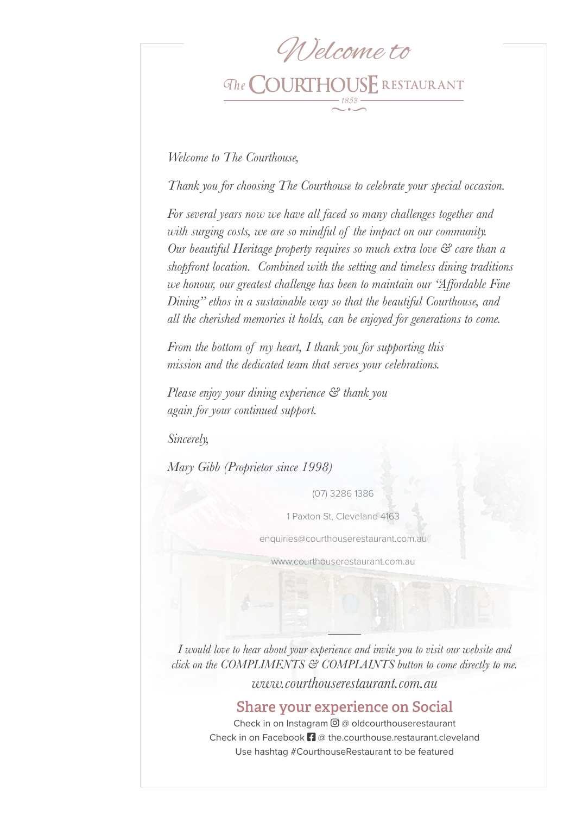# Welcome to

# The **COURTHOUSE** RESTAURANT

*Welcome to The Courthouse,*

*Thank you for choosing The Courthouse to celebrate your special occasion.*

*For several years now we have all faced so many challenges together and with surging costs, we are so mindful of the impact on our community. Our beautiful Heritage property requires so much extra love & care than a shopfront location. Combined with the setting and timeless dining traditions we honour, our greatest challenge has been to maintain our "Affordable Fine Dining" ethos in a sustainable way so that the beautiful Courthouse, and all the cherished memories it holds, can be enjoyed for generations to come.*

*From the bottom of my heart, I thank you for supporting this mission and the dedicated team that serves your celebrations.*

*Please enjoy your dining experience & thank you again for your continued support.*

*Sincerely,*

*Mary Gibb (Proprietor since 1998)*

(07) 3286 1386

1 Paxton St, Cleveland 4163

enquiries@courthouserestaurant.com.au

www.courthouserestaurant.com.au

*I would love to hear about your experience and invite you to visit our website and click on the COMPLIMENTS & COMPLAINTS button to come directly to me. www.courthouserestaurant.com.au*

Share your experience on Social

Check in on Instagram  $\Theta$  @ oldcourthouserestaurant Check in on Facebook  $\mathbf{f}$  @ the.courthouse.restaurant.cleveland Use hashtag #CourthouseRestaurant to be featured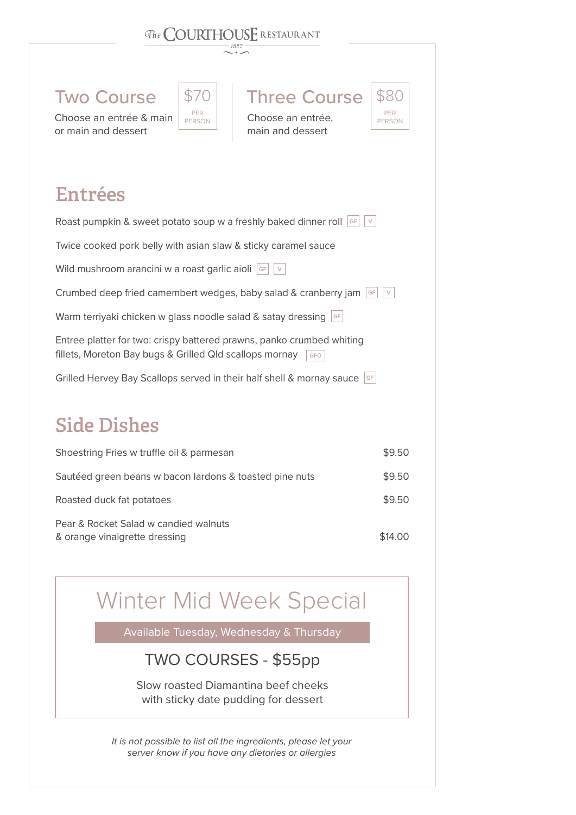### The **COURTHOUSE** RESTAURANT

| <b>Two Course</b> |
|-------------------|
|                   |

Choose an entrée & main or main and dessert



Choose an entrée, main and dessert

**Three Course** 

#### PER PERSON \$80

Entrées

| Roast pumpkin & sweet potato soup w a freshly baked dinner roll<br>GF<br>$\vee$                                                                |        |
|------------------------------------------------------------------------------------------------------------------------------------------------|--------|
| Twice cooked pork belly with asian slaw & sticky caramel sauce                                                                                 |        |
| Wild mushroom arancini w a roast garlic aioli<br>GF                                                                                            |        |
| Crumbed deep fried camembert wedges, baby salad & cranberry jam                                                                                |        |
| Warm terriyaki chicken w glass noodle salad & satay dressing $\left  \circ \right $                                                            |        |
| Entree platter for two: crispy battered prawns, panko crumbed whiting<br>fillets, Moreton Bay bugs & Grilled Qld scallops mornay<br><b>GFO</b> |        |
| Grilled Hervey Bay Scallops served in their half shell & mornay sauce<br>GF                                                                    |        |
| <b>Side Dishes</b>                                                                                                                             |        |
| Shoestring Fries w truffle oil & parmesan                                                                                                      | \$9.50 |
|                                                                                                                                                |        |

Sautéed green beans w bacon lardons & toasted pine nuts \$9.50 Roasted duck fat potatoes  $$9.50$ Pear & Rocket Salad w candied walnuts & orange vinaigrette dressing **\$14.00** \$14.00

# Winter Mid Week Special

Available Tuesday, Wednesday & Thursday

#### TWO COURSES - \$55pp

Slow roasted Diamantina beef cheeks with sticky date pudding for dessert

*It is not possible to list all the ingredients, please let your server know if you have any dietaries or allergies*